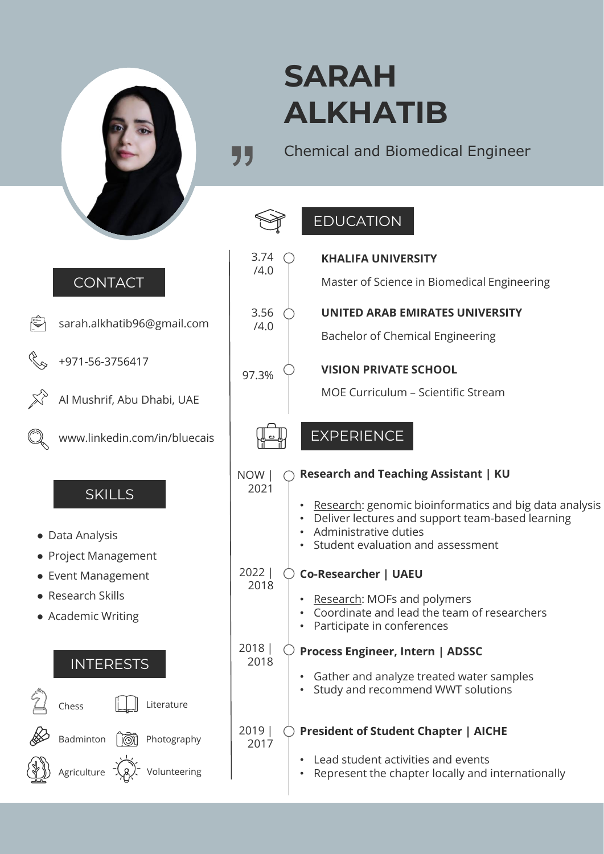